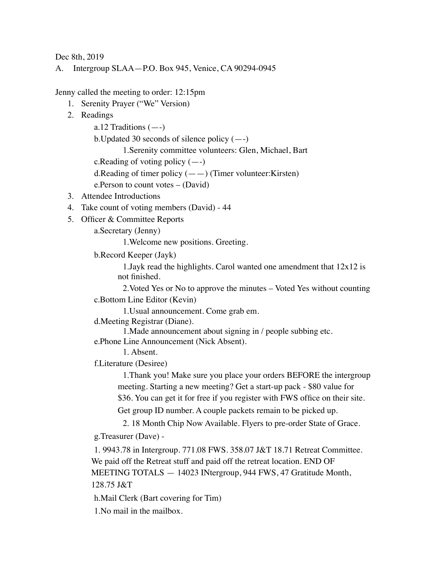Dec 8th, 2019

A. Intergroup SLAA—P.O. Box 945, Venice, CA 90294-0945

Jenny called the meeting to order: 12:15pm

- 1. Serenity Prayer ("We" Version)
- 2. Readings

a.12 Traditions  $(-)$ 

b. Updated 30 seconds of silence policy  $(-)$ 

1.Serenity committee volunteers: Glen, Michael, Bart

c.Reading of voting policy (—-)

d. Reading of timer policy  $(--)$  (Timer volunteer: Kirsten)

e.Person to count votes – (David)

- 3. Attendee Introductions
- 4. Take count of voting members (David) 44
- 5. Officer & Committee Reports

a.Secretary (Jenny)

1.Welcome new positions. Greeting.

b.Record Keeper (Jayk)

1.Jayk read the highlights. Carol wanted one amendment that 12x12 is not finished.

2.Voted Yes or No to approve the minutes – Voted Yes without counting c.Bottom Line Editor (Kevin)

1.Usual announcement. Come grab em.

d.Meeting Registrar (Diane).

1.Made announcement about signing in / people subbing etc.

e.Phone Line Announcement (Nick Absent).

1. Absent.

f.Literature (Desiree)

1.Thank you! Make sure you place your orders BEFORE the intergroup meeting. Starting a new meeting? Get a start-up pack - \$80 value for \$36. You can get it for free if you register with FWS office on their site.

Get group ID number. A couple packets remain to be picked up.

2. 18 Month Chip Now Available. Flyers to pre-order State of Grace.

g.Treasurer (Dave) -

1. 9943.78 in Intergroup. 771.08 FWS. 358.07 J&T 18.71 Retreat Committee. We paid off the Retreat stuff and paid off the retreat location. END OF MEETING TOTALS — 14023 INtergroup, 944 FWS, 47 Gratitude Month, 128.75 J&T

h.Mail Clerk (Bart covering for Tim)

1.No mail in the mailbox.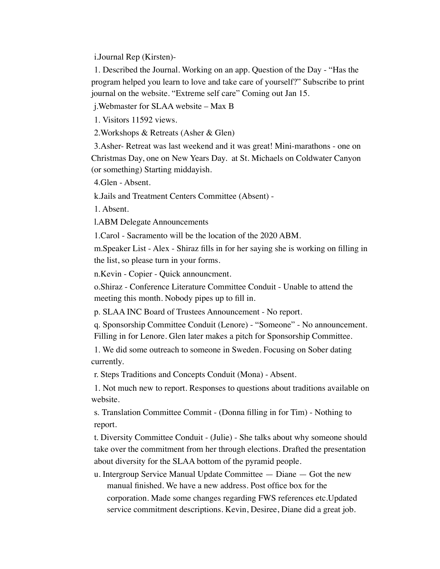i.Journal Rep (Kirsten)-

1. Described the Journal. Working on an app. Question of the Day - "Has the program helped you learn to love and take care of yourself?" Subscribe to print journal on the website. "Extreme self care" Coming out Jan 15.

j.Webmaster for SLAA website – Max B

1. Visitors 11592 views.

2.Workshops & Retreats (Asher & Glen)

3.Asher- Retreat was last weekend and it was great! Mini-marathons - one on Christmas Day, one on New Years Day. at St. Michaels on Coldwater Canyon (or something) Starting middayish.

4.Glen - Absent.

k.Jails and Treatment Centers Committee (Absent) -

1. Absent.

l.ABM Delegate Announcements

1.Carol - Sacramento will be the location of the 2020 ABM.

m.Speaker List - Alex - Shiraz fills in for her saying she is working on filling in the list, so please turn in your forms.

n.Kevin - Copier - Quick announcment.

o.Shiraz - Conference Literature Committee Conduit - Unable to attend the meeting this month. Nobody pipes up to fill in.

p. SLAA INC Board of Trustees Announcement - No report.

q. Sponsorship Committee Conduit (Lenore) - "Someone" - No announcement. Filling in for Lenore. Glen later makes a pitch for Sponsorship Committee.

1. We did some outreach to someone in Sweden. Focusing on Sober dating currently.

r. Steps Traditions and Concepts Conduit (Mona) - Absent.

1. Not much new to report. Responses to questions about traditions available on website.

s. Translation Committee Commit - (Donna filling in for Tim) - Nothing to report.

t. Diversity Committee Conduit - (Julie) - She talks about why someone should take over the commitment from her through elections. Drafted the presentation about diversity for the SLAA bottom of the pyramid people.

u. Intergroup Service Manual Update Committee — Diane — Got the new manual finished. We have a new address. Post office box for the corporation. Made some changes regarding FWS references etc.Updated service commitment descriptions. Kevin, Desiree, Diane did a great job.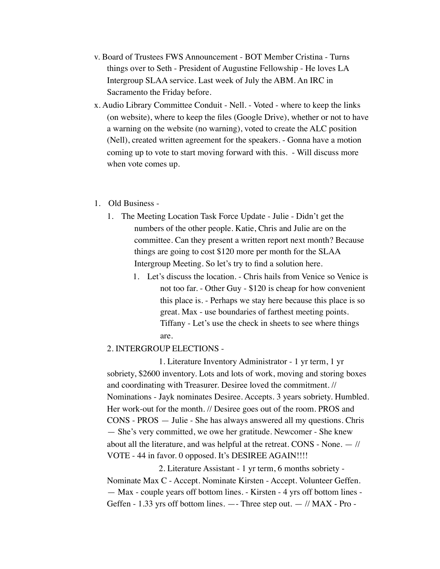- v. Board of Trustees FWS Announcement BOT Member Cristina Turns things over to Seth - President of Augustine Fellowship - He loves LA Intergroup SLAA service. Last week of July the ABM. An IRC in Sacramento the Friday before.
- x. Audio Library Committee Conduit Nell. Voted where to keep the links (on website), where to keep the files (Google Drive), whether or not to have a warning on the website (no warning), voted to create the ALC position (Nell), created written agreement for the speakers. - Gonna have a motion coming up to vote to start moving forward with this. - Will discuss more when vote comes up.

## 1. Old Business -

- 1. The Meeting Location Task Force Update Julie Didn't get the numbers of the other people. Katie, Chris and Julie are on the committee. Can they present a written report next month? Because things are going to cost \$120 more per month for the SLAA Intergroup Meeting. So let's try to find a solution here.
	- 1. Let's discuss the location. Chris hails from Venice so Venice is not too far. - Other Guy - \$120 is cheap for how convenient this place is. - Perhaps we stay here because this place is so great. Max - use boundaries of farthest meeting points. Tiffany - Let's use the check in sheets to see where things are.

## 2. INTERGROUP ELECTIONS -

1. Literature Inventory Administrator - 1 yr term, 1 yr sobriety, \$2600 inventory. Lots and lots of work, moving and storing boxes and coordinating with Treasurer. Desiree loved the commitment. // Nominations - Jayk nominates Desiree. Accepts. 3 years sobriety. Humbled. Her work-out for the month. // Desiree goes out of the room. PROS and CONS - PROS — Julie - She has always answered all my questions. Chris — She's very committed, we owe her gratitude. Newcomer - She knew about all the literature, and was helpful at the retreat. CONS - None. — // VOTE - 44 in favor. 0 opposed. It's DESIREE AGAIN!!!!

2. Literature Assistant - 1 yr term, 6 months sobriety - Nominate Max C - Accept. Nominate Kirsten - Accept. Volunteer Geffen. — Max - couple years off bottom lines. - Kirsten - 4 yrs off bottom lines - Geffen - 1.33 yrs off bottom lines. —- Three step out. — // MAX - Pro -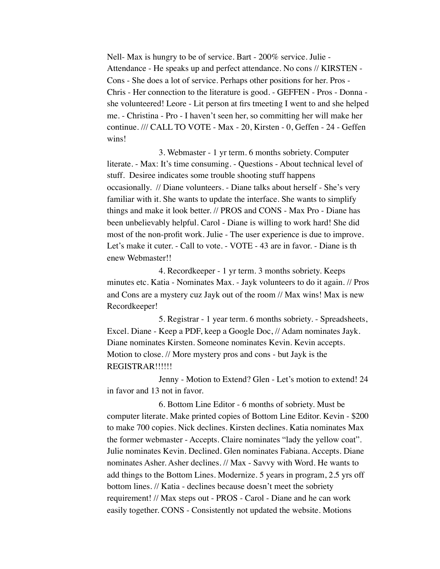Nell- Max is hungry to be of service. Bart - 200% service. Julie - Attendance - He speaks up and perfect attendance. No cons // KIRSTEN - Cons - She does a lot of service. Perhaps other positions for her. Pros - Chris - Her connection to the literature is good. - GEFFEN - Pros - Donna she volunteered! Leore - Lit person at firs tmeeting I went to and she helped me. - Christina - Pro - I haven't seen her, so committing her will make her continue. /// CALL TO VOTE - Max - 20, Kirsten - 0, Geffen - 24 - Geffen wins!

3. Webmaster - 1 yr term. 6 months sobriety. Computer literate. - Max: It's time consuming. - Questions - About technical level of stuff. Desiree indicates some trouble shooting stuff happens occasionally. // Diane volunteers. - Diane talks about herself - She's very familiar with it. She wants to update the interface. She wants to simplify things and make it look better. // PROS and CONS - Max Pro - Diane has been unbelievably helpful. Carol - Diane is willing to work hard! She did most of the non-profit work. Julie - The user experience is due to improve. Let's make it cuter. - Call to vote. - VOTE - 43 are in favor. - Diane is th enew Webmaster!!

4. Recordkeeper - 1 yr term. 3 months sobriety. Keeps minutes etc. Katia - Nominates Max. - Jayk volunteers to do it again. // Pros and Cons are a mystery cuz Jayk out of the room // Max wins! Max is new Recordkeeper!

5. Registrar - 1 year term. 6 months sobriety. - Spreadsheets, Excel. Diane - Keep a PDF, keep a Google Doc, // Adam nominates Jayk. Diane nominates Kirsten. Someone nominates Kevin. Kevin accepts. Motion to close. // More mystery pros and cons - but Jayk is the REGISTRAR!!!!!!

Jenny - Motion to Extend? Glen - Let's motion to extend! 24 in favor and 13 not in favor.

6. Bottom Line Editor - 6 months of sobriety. Must be computer literate. Make printed copies of Bottom Line Editor. Kevin - \$200 to make 700 copies. Nick declines. Kirsten declines. Katia nominates Max the former webmaster - Accepts. Claire nominates "lady the yellow coat". Julie nominates Kevin. Declined. Glen nominates Fabiana. Accepts. Diane nominates Asher. Asher declines. // Max - Savvy with Word. He wants to add things to the Bottom Lines. Modernize. 5 years in program, 2.5 yrs off bottom lines. // Katia - declines because doesn't meet the sobriety requirement! // Max steps out - PROS - Carol - Diane and he can work easily together. CONS - Consistently not updated the website. Motions